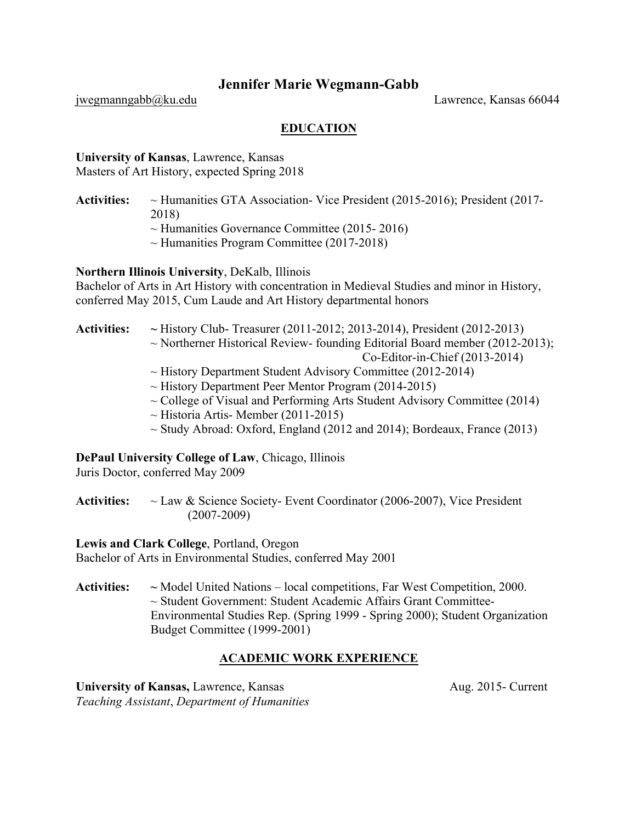# **Jennifer Marie Wegmann-Gabb**

jwegmanngabb@ku.edu Lawrence, Kansas 66044

# **EDUCATION**

**University of Kansas**, Lawrence, Kansas Masters of Art History, expected Spring 2018

- **Activities:** ~ Humanities GTA Association- Vice President (2015-2016); President (2017- 2018)
	- $\sim$  Humanities Governance Committee (2015-2016)
	- $\sim$  Humanities Program Committee (2017-2018)

**Northern Illinois University**, DeKalb, Illinois

Bachelor of Arts in Art History with concentration in Medieval Studies and minor in History, conferred May 2015, Cum Laude and Art History departmental honors

- **Activities: ~** History Club- Treasurer (2011-2012; 2013-2014), President (2012-2013)  $\sim$  Northerner Historical Review- founding Editorial Board member (2012-2013);
	- Co-Editor-in-Chief (2013-2014)
	- ~ History Department Student Advisory Committee (2012-2014)
	- $\sim$  History Department Peer Mentor Program (2014-2015)
	- $\sim$  College of Visual and Performing Arts Student Advisory Committee (2014)
	- $\sim$  Historia Artis-Member (2011-2015)
	- $\sim$  Study Abroad: Oxford, England (2012 and 2014); Bordeaux, France (2013)

## **DePaul University College of Law**, Chicago, Illinois

Juris Doctor, conferred May 2009

**Activities:** ~ Law & Science Society- Event Coordinator (2006-2007), Vice President (2007-2009)

**Lewis and Clark College**, Portland, Oregon Bachelor of Arts in Environmental Studies, conferred May 2001

**Activities: ~** Model United Nations – local competitions, Far West Competition, 2000. ~ Student Government: Student Academic Affairs Grant Committee-Environmental Studies Rep. (Spring 1999 - Spring 2000); Student Organization Budget Committee (1999-2001)

## **ACADEMIC WORK EXPERIENCE**

**University of Kansas,** Lawrence, Kansas **Aug. 2015** Aug. 2015- Current *Teaching Assistant*, *Department of Humanities*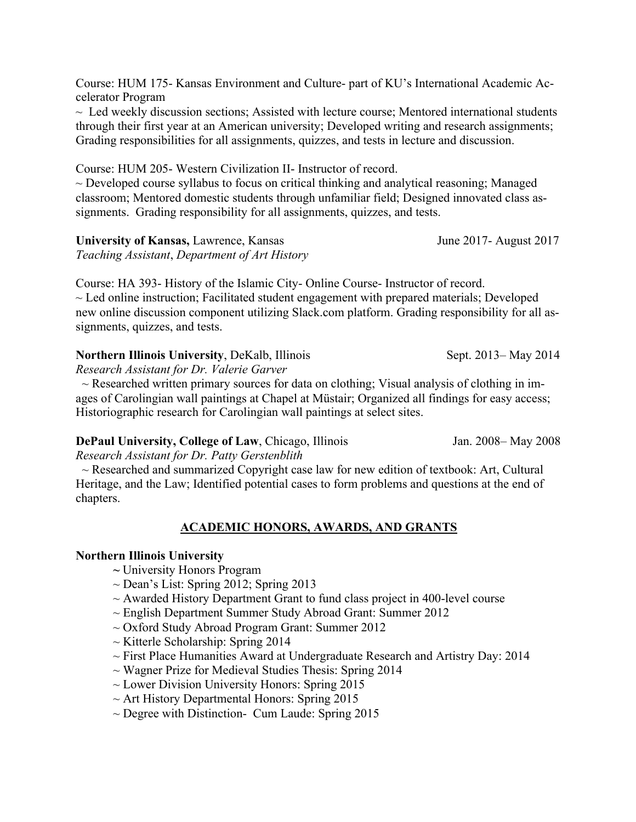Course: HUM 175- Kansas Environment and Culture- part of KU's International Academic Accelerator Program

*~* Led weekly discussion sections; Assisted with lecture course; Mentored international students through their first year at an American university; Developed writing and research assignments; Grading responsibilities for all assignments, quizzes, and tests in lecture and discussion.

Course: HUM 205- Western Civilization II- Instructor of record.

 $\sim$  Developed course syllabus to focus on critical thinking and analytical reasoning; Managed classroom; Mentored domestic students through unfamiliar field; Designed innovated class assignments. Grading responsibility for all assignments, quizzes, and tests.

**University of Kansas,** Lawrence, Kansas June 2017- August 2017

*Teaching Assistant*, *Department of Art History*

Course: HA 393- History of the Islamic City- Online Course- Instructor of record.  $\sim$  Led online instruction; Facilitated student engagement with prepared materials; Developed new online discussion component utilizing Slack.com platform. Grading responsibility for all assignments, quizzes, and tests.

## **Northern Illinois University**, DeKalb, Illinois **Sept. 2013** Sept. 2013– May 2014

*Research Assistant for Dr. Valerie Garver*

 $\sim$  Researched written primary sources for data on clothing; Visual analysis of clothing in images of Carolingian wall paintings at Chapel at Müstair; Organized all findings for easy access; Historiographic research for Carolingian wall paintings at select sites.

## **DePaul University, College of Law**, Chicago, IllinoisJan. 2008– May 2008

*Research Assistant for Dr. Patty Gerstenblith*

 $\sim$  Researched and summarized Copyright case law for new edition of textbook: Art, Cultural Heritage, and the Law; Identified potential cases to form problems and questions at the end of chapters.

## **ACADEMIC HONORS, AWARDS, AND GRANTS**

## **Northern Illinois University**

- **~** University Honors Program
- $\sim$  Dean's List: Spring 2012; Spring 2013
- $\sim$  Awarded History Department Grant to fund class project in 400-level course
- $\sim$  English Department Summer Study Abroad Grant: Summer 2012
- $\sim$  Oxford Study Abroad Program Grant: Summer 2012
- $\sim$  Kitterle Scholarship: Spring 2014
- $\sim$  First Place Humanities Award at Undergraduate Research and Artistry Day: 2014
- $\sim$  Wagner Prize for Medieval Studies Thesis: Spring 2014
- $\sim$  Lower Division University Honors: Spring 2015
- $\sim$  Art History Departmental Honors: Spring 2015
- $\sim$  Degree with Distinction- Cum Laude: Spring 2015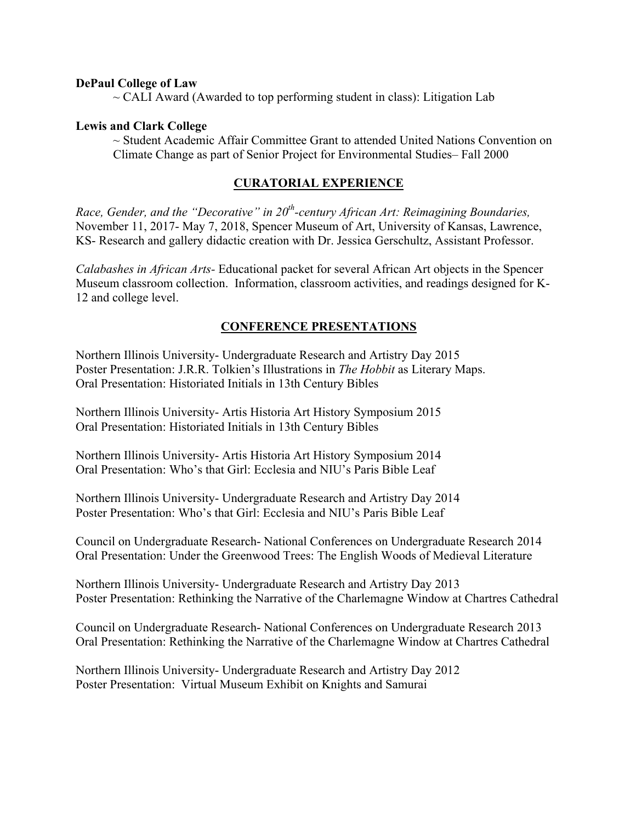### **DePaul College of Law**

 $\sim$  CALI Award (Awarded to top performing student in class): Litigation Lab

### **Lewis and Clark College**

 $\sim$  Student Academic Affair Committee Grant to attended United Nations Convention on Climate Change as part of Senior Project for Environmental Studies– Fall 2000

### **CURATORIAL EXPERIENCE**

*Race, Gender, and the "Decorative" in 20th-century African Art: Reimagining Boundaries,* November 11, 2017- May 7, 2018, Spencer Museum of Art, University of Kansas, Lawrence, KS- Research and gallery didactic creation with Dr. Jessica Gerschultz, Assistant Professor.

*Calabashes in African Arts-* Educational packet for several African Art objects in the Spencer Museum classroom collection. Information, classroom activities, and readings designed for K-12 and college level.

#### **CONFERENCE PRESENTATIONS**

Northern Illinois University- Undergraduate Research and Artistry Day 2015 Poster Presentation: J.R.R. Tolkien's Illustrations in *The Hobbit* as Literary Maps. Oral Presentation: Historiated Initials in 13th Century Bibles

Northern Illinois University- Artis Historia Art History Symposium 2015 Oral Presentation: Historiated Initials in 13th Century Bibles

Northern Illinois University- Artis Historia Art History Symposium 2014 Oral Presentation: Who's that Girl: Ecclesia and NIU's Paris Bible Leaf

Northern Illinois University- Undergraduate Research and Artistry Day 2014 Poster Presentation: Who's that Girl: Ecclesia and NIU's Paris Bible Leaf

Council on Undergraduate Research- National Conferences on Undergraduate Research 2014 Oral Presentation: Under the Greenwood Trees: The English Woods of Medieval Literature

Northern Illinois University- Undergraduate Research and Artistry Day 2013 Poster Presentation: Rethinking the Narrative of the Charlemagne Window at Chartres Cathedral

Council on Undergraduate Research- National Conferences on Undergraduate Research 2013 Oral Presentation: Rethinking the Narrative of the Charlemagne Window at Chartres Cathedral

Northern Illinois University- Undergraduate Research and Artistry Day 2012 Poster Presentation: Virtual Museum Exhibit on Knights and Samurai